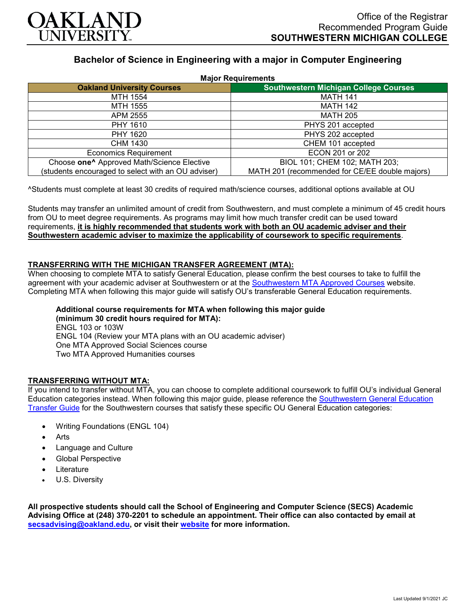

# **Bachelor of Science in Engineering with a major in Computer Engineering**

| <b>Major Requirements</b>                              |                                                |
|--------------------------------------------------------|------------------------------------------------|
| <b>Oakland University Courses</b>                      | <b>Southwestern Michigan College Courses</b>   |
| MTH 1554                                               | <b>MATH 141</b>                                |
| MTH 1555                                               | <b>MATH 142</b>                                |
| APM 2555                                               | <b>MATH 205</b>                                |
| <b>PHY 1610</b>                                        | PHYS 201 accepted                              |
| PHY 1620                                               | PHYS 202 accepted                              |
| CHM 1430                                               | CHEM 101 accepted                              |
| <b>Economics Requirement</b>                           | ECON 201 or 202                                |
| Choose one <sup>^</sup> Approved Math/Science Elective | BIOL 101; CHEM 102; MATH 203;                  |
| (students encouraged to select with an OU adviser)     | MATH 201 (recommended for CE/EE double majors) |

^Students must complete at least 30 credits of required math/science courses, additional options available at OU

Students may transfer an unlimited amount of credit from Southwestern, and must complete a minimum of 45 credit hours from OU to meet degree requirements. As programs may limit how much transfer credit can be used toward requirements, **it is highly recommended that students work with both an OU academic adviser and their Southwestern academic adviser to maximize the applicability of coursework to specific requirements**.

### **TRANSFERRING WITH THE MICHIGAN TRANSFER AGREEMENT (MTA):**

When choosing to complete MTA to satisfy General Education, please confirm the best courses to take to fulfill the agreement with your academic adviser at Southwestern or at the [Southwestern MTA Approved Courses](https://www.swmich.edu/media/website/content-assets/documents/mta-ADA.pdf) website. Completing MTA when following this major guide will satisfy OU's transferable General Education requirements.

# **Additional course requirements for MTA when following this major guide**

**(minimum 30 credit hours required for MTA):** ENGL 103 or 103W ENGL 104 (Review your MTA plans with an OU academic adviser) One MTA Approved Social Sciences course Two MTA Approved Humanities courses

#### **TRANSFERRING WITHOUT MTA:**

If you intend to transfer without MTA, you can choose to complete additional coursework to fulfill OU's individual General Education categories instead. When following this major guide, please reference the [Southwestern General Education](https://www.oakland.edu/Assets/Oakland/program-guides/southwestern-michigan-college/university-general-education-requirements/Southwestern%20Gen%20Ed.pdf)  [Transfer Guide](https://www.oakland.edu/Assets/Oakland/program-guides/southwestern-michigan-college/university-general-education-requirements/Southwestern%20Gen%20Ed.pdf) for the Southwestern courses that satisfy these specific OU General Education categories:

- Writing Foundations (ENGL 104)
- **Arts**
- Language and Culture
- Global Perspective
- **Literature**
- U.S. Diversity

**All prospective students should call the School of Engineering and Computer Science (SECS) Academic Advising Office at (248) 370-2201 to schedule an appointment. Their office can also contacted by email at [secsadvising@oakland.edu,](mailto:secsadvising@oakland.edu) or visit their [website](https://wwwp.oakland.edu/secs/advising/) for more information.**